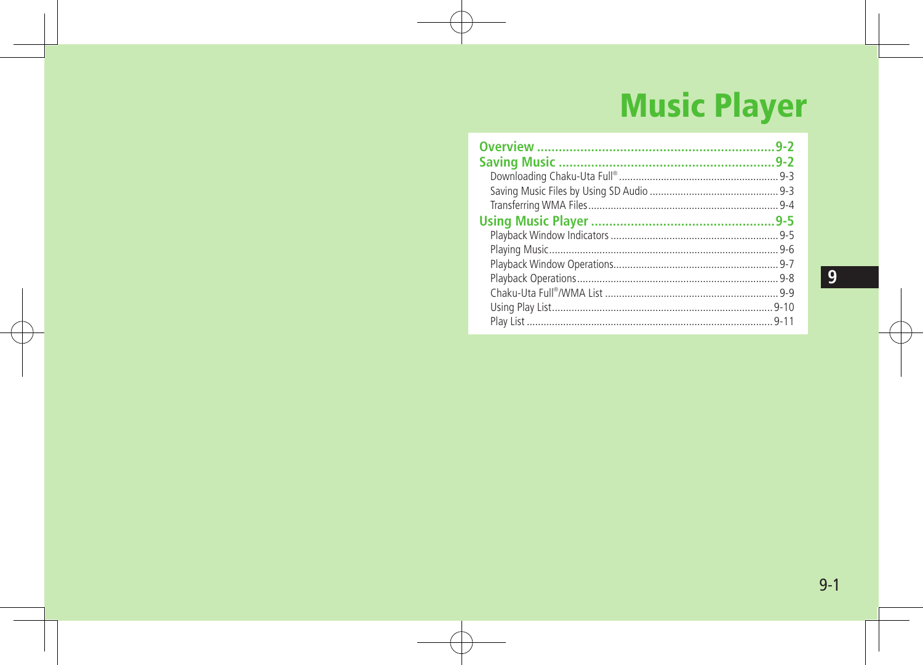# **Music Player**

| $9 - 2$ |
|---------|
|         |
|         |
|         |
|         |
|         |
|         |
|         |
|         |
|         |
|         |
|         |
|         |
|         |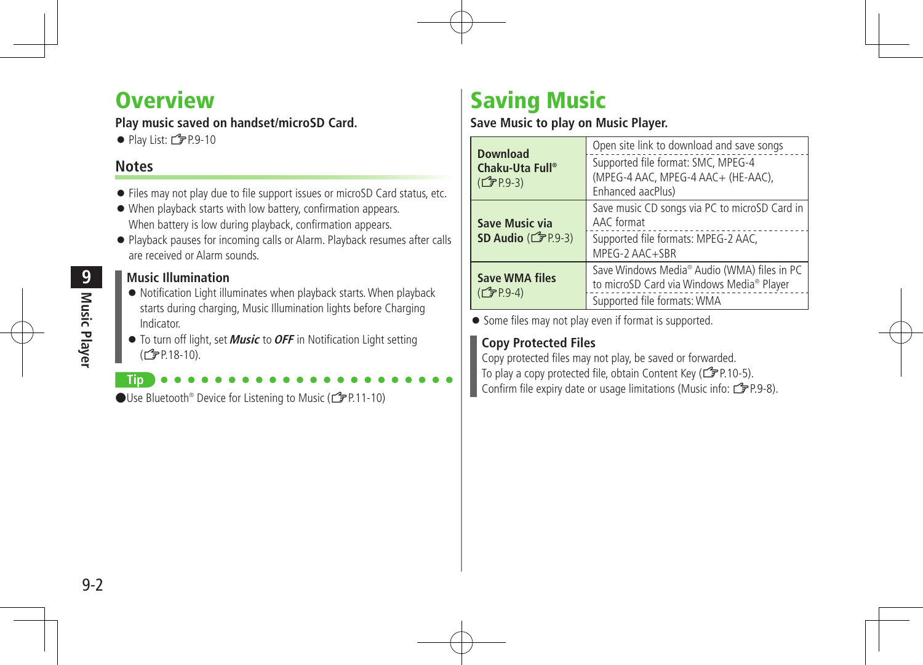# **Overview**

## **Play music saved on handset/microSD Card.**

 $\bullet$  Play List:  $\mathcal{I}$  P.9-10

## **Notes**

**Tip**

- Files may not play due to file support issues or microSD Card status, etc.
- When playback starts with low battery, confirmation appears. When battery is low during playback, confirmation appears.
- Playback pauses for incoming calls or Alarm. Playback resumes after calls are received or Alarm sounds.

#### **Music Illumination**

- Notification Light illuminates when playback starts.When playback starts during charging, Music Illumination lights before Charging Indicator.
- To turn off light, set **Music** to**OFF** in Notification Light setting  $(\vec{F}P.18-10)$ .

●Use Bluetooth<sup>®</sup> Device for Listening to Music (<del>f</del> P.11-10)

# Saving Music

#### **Save Music to play on Music Player.**

| <b>Download</b><br>Chaku-Uta Full®<br>( <b>子</b> P.9-3) | Open site link to download and save songs<br>Supported file format: SMC, MPEG-4<br>(MPEG-4 AAC, MPEG-4 AAC+ (HE-AAC),<br>Enhanced aacPlus) |
|---------------------------------------------------------|--------------------------------------------------------------------------------------------------------------------------------------------|
| Save Music via<br>SD Audio $(\mathcal{F}P.9-3)$         | Save music CD songs via PC to microSD Card in<br>AAC format<br>Supported file formats: MPEG-2 AAC,<br>MPEG-2 AAC+SBR                       |
| <b>Save WMA files</b><br>(子P.9-4)                       | Save Windows Media® Audio (WMA) files in PC<br>to microSD Card via Windows Media® Player<br>Supported file formats: WMA                    |

• Some files may not play even if format is supported.

# **Copy Protected Files**

Copy protected files may not play, be saved or forwarded. To play a copy protected file, obtain Content Key ( $\mathcal{F}$ P.10-5). Confirm file expiry date or usage limitations (Music info:  $\mathbb{Z}$ P.9-8).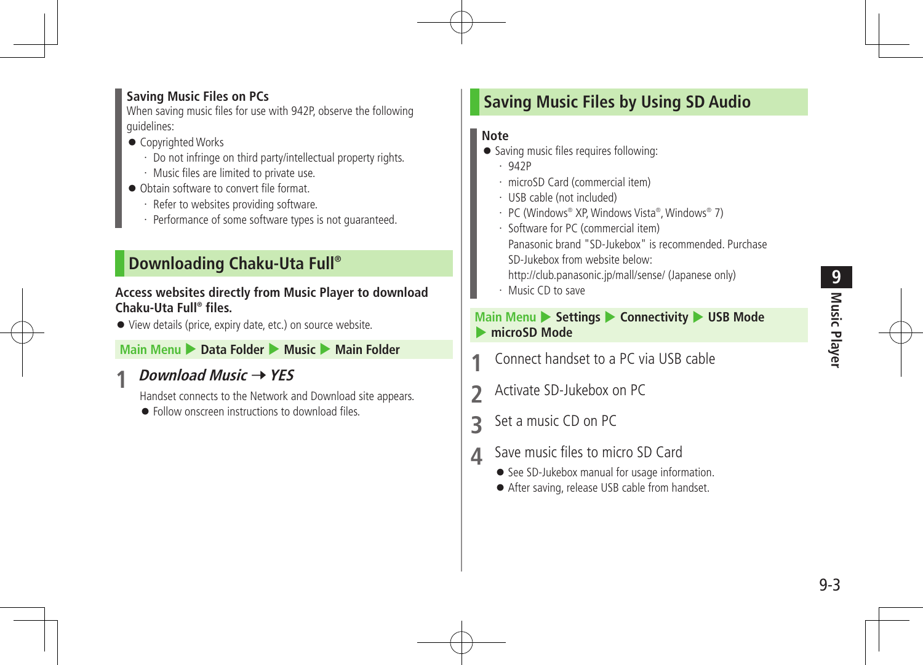### **Saving Music Files on PCs**

When saving music files for use with 942P, observe the following guidelines:

- Copyrighted Works
	- ・ Do not infringe on third party/intellectual property rights.
	- ・ Music files are limited to private use.
- Obtain software to convert file format.
	- ・ Refer to websites providing software.
	- ・ Performance of some software types is not guaranteed.

# **Downloading Chaku-Uta Full®**

#### **Access websites directly from Music Player to download Chaku-Uta Full® files.**

View details (price, expiry date, etc.) on source website.

### **Main Menu** 4 **Data Folder** 4 **Music** 4 **Main Folder**

# *Download Music* **→ YES**

Handset connects to the Network and Download site appears.

 $\bullet$  Follow onscreen instructions to download files.

# **Saving Music Files by Using SD Audio**

## **Note**

- Saving music files requires following:
	- ・ 942P
	- ・ microSD Card (commercial item)
	- ・ USB cable (not included)
	- PC (Windows® XP, Windows Vista®, Windows® 7)
	- Software for PC (commercial item) Panasonic brand "SD-Jukebox" is recommended. Purchase SD-Jukebox from website below:
	- http://club.panasonic.jp/mall/sense/ (Japanese only)
	- ・ Music CD to save

#### **Main Menu > Settings > Connectivity > USB Mode** 4 **microSD Mode**

- **1** Connect handset to a PC via USB cable
- **2** Activate SD-Jukebox on PC
- **3** Set a music CD on PC
- **4** Save music files to micro SD Card
	- See SD-Jukebox manual for usage information.
	- After saving, release USB cable from handset.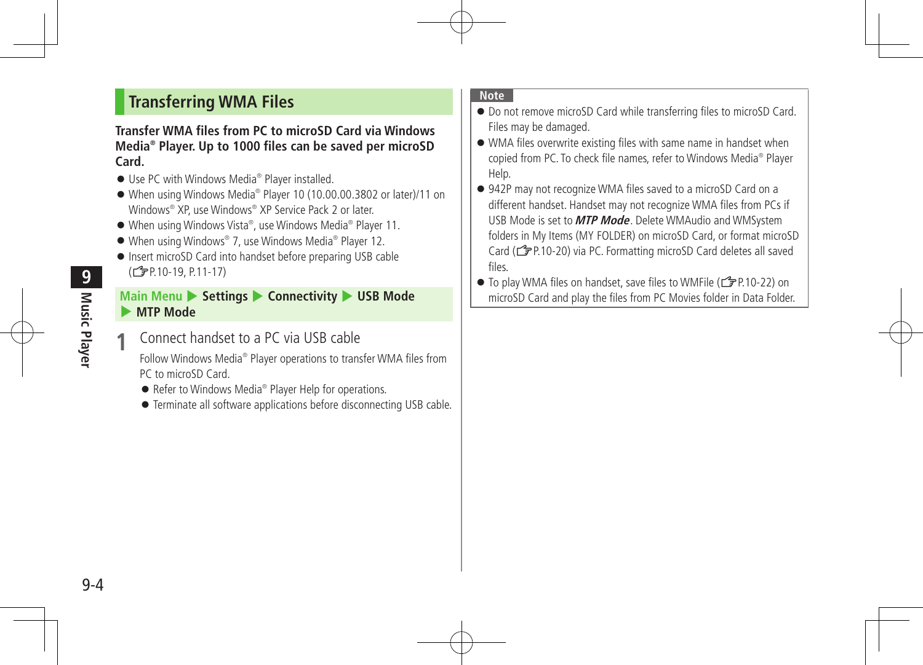# **Transferring WMA Files**

#### **Transfer WMA files from PC to microSD Card via Windows Media® Player. Up to 1000 files can be saved per microSD Card.**

- Use PC with Windows Media<sup>®</sup> Player installed.
- When using Windows Media® Player 10 (10.00.00.3802 or later)/11 on Windows® XP, use Windows® XP Service Pack 2 or later.
- When using Windows Vista®, use Windows Media® Player 11.
- When using Windows® 7, use Windows Media® Player 12.
- Insert microSD Card into handset before preparing USB cable (<del>f</del> P.10-19, P.11-17)

#### **Main Menu > Settings > Connectivity > USB Mode** 4 **MTP Mode**

**Connect handset to a PC via USB cable** 

Follow Windows Media® Player operations to transfer WMA files from PC to microSD Card.

- Refer to Windows Media<sup>®</sup> Player Help for operations.
- Terminate all software applications before disconnecting USB cable.

#### **Note**

- Do not remove microSD Card while transferring files to microSD Card. Files may be damaged.
- WMA files overwrite existing files with same name in handset when copied from PC. To check file names, refer to Windows Media® Player Help.
- 942P may not recognize WMA files saved to a microSD Card on a different handset. Handset may not recognize WMA files from PCs if USB Mode is set to **MTP Mode**. Delete WMAudio and WMSystem folders in My Items (MY FOLDER) on microSD Card, or format microSD Card ( $\mathcal{F}$ P.10-20) via PC. Formatting microSD Card deletes all saved files.
- To play WMA files on handset, save files to WMFile ( $\mathcal{F}$ P.10-22) on microSD Card and play the files from PC Movies folder in Data Folder.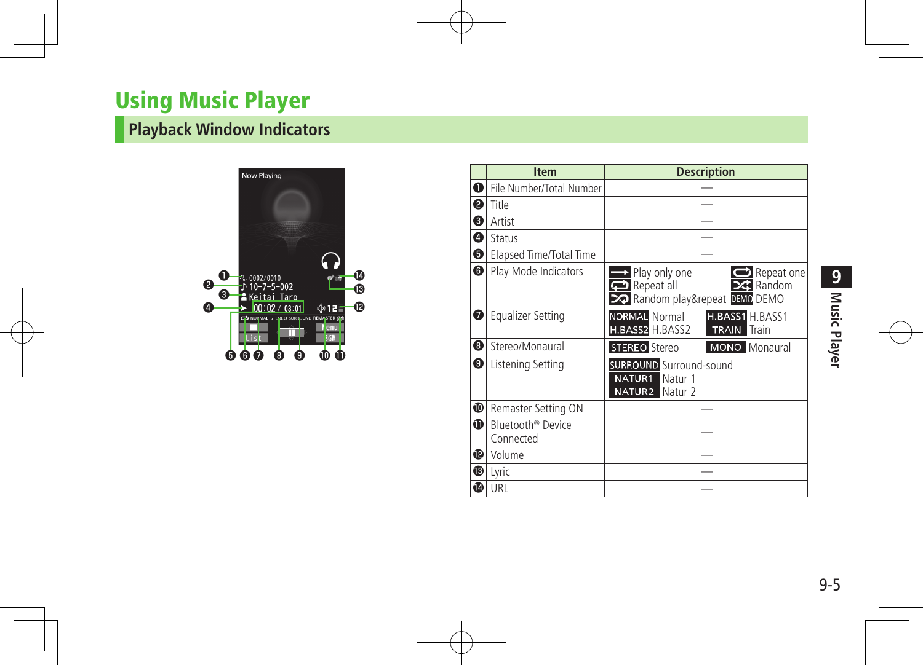# Using Music Player

# **Playback Window Indicators**



|             | <b>Item</b>                                | <b>Description</b>                                                                               |
|-------------|--------------------------------------------|--------------------------------------------------------------------------------------------------|
| $\mathbf 0$ | File Number/Total Number                   |                                                                                                  |
| ❷           | Title                                      |                                                                                                  |
| 0           | Artist                                     |                                                                                                  |
| ❹           | Status                                     |                                                                                                  |
| ❺           | Elapsed Time/Total Time                    |                                                                                                  |
| ❺           | Play Mode Indicators                       | Play only one<br>Repeat one<br><b>23</b> Random<br>Repeat all<br>22 Random play&repeat DEMO DEMO |
| ❼           | <b>Equalizer Setting</b>                   | <b>NORMAL</b> Normal<br>H.BASS1 H.BASS1<br>H.BASS2 H.BASS2<br><b>TRAIN</b><br>Train              |
| ❸           | Stereo/Monaural                            | <b>STEREO</b> Stereo<br><b>MONO</b> Monaural                                                     |
| ❸           | Listening Setting                          | <b>SURROUND</b> Surround-sound<br>NATUR1<br>Natur 1<br><b>NATUR2</b> Natur 2                     |
| ❶           | Remaster Setting ON                        |                                                                                                  |
| $\bf{D}$    | Bluetooth <sup>®</sup> Device<br>Connected |                                                                                                  |
| ®           | Volume                                     |                                                                                                  |
| ®           | Lyric                                      |                                                                                                  |
| ❶           | URL                                        |                                                                                                  |

9-5**Music Player PINusic Player**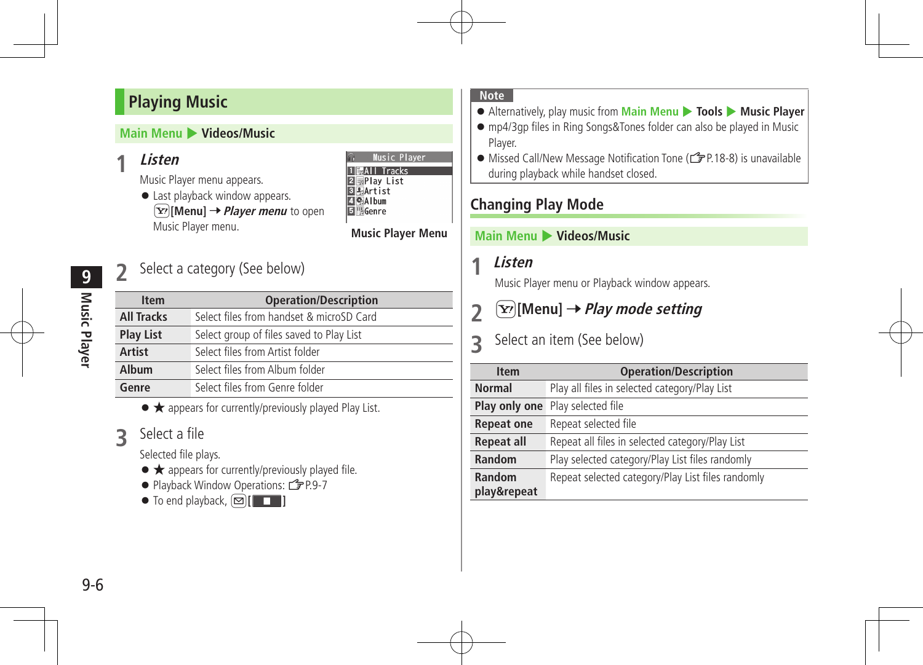# **Playing Music**

## **Main Menu** 4 **Videos/Music**

# **1 Listen**

Music Player menu appears.

● Last playback window appears. **[∑***Player menu* to open Music Player menu.

|                 |                | Music Player |
|-----------------|----------------|--------------|
|                 | 1  鼠All Tracks |              |
|                 | ⊠⊞Play List    |              |
| 3 FArtist       |                |              |
| 19Album         |                |              |
| <b>i</b> WGenre |                |              |
|                 |                |              |

### **Music Player Menu**

# Select a category (See below)

| <b>Item</b>       | <b>Operation/Description</b>             |
|-------------------|------------------------------------------|
| <b>All Tracks</b> | Select files from handset & microSD Card |
| <b>Play List</b>  | Select group of files saved to Play List |
| Artist            | Select files from Artist folder          |
| Album             | Select files from Album folder           |
| Genre             | Select files from Genre folder           |

● ★ appears for currently/previously played Play List.

# **3** Select <sup>a</sup> file

Selected file plays.

- ★ appears for currently/previously played file.
- Playback Window Operations: <a>

 $\bullet$  To end playback,  $\textcircled{r}$   $\textcircled{r}$ 

#### **Note**

Alternatively, play music from **Main Menu** 4 **Tools** 4 **Music Player**

- mp4/3gp files in Ring Songs&Tones folder can also be played in Music Player.
- Missed Call/New Message Notification Tone (ZP.18-8) is unavailable during playback while handset closed.

# **Changing Play Mode**

#### **Main Menu** 4 **Videos/Music**

**1 Listen**

Music Player menu or Playback window appears.

**2** ∑<sup>*[*Menu] → Play mode setting</sup>

# **3** Select an item (See below)

| <b>Item</b>       | <b>Operation/Description</b>                      |
|-------------------|---------------------------------------------------|
| <b>Normal</b>     | Play all files in selected category/Play List     |
| Play only one     | Play selected file                                |
| <b>Repeat one</b> | Repeat selected file                              |
| <b>Repeat all</b> | Repeat all files in selected category/Play List   |
| Random            | Play selected category/Play List files randomly   |
| Random            | Repeat selected category/Play List files randomly |
| play&repeat       |                                                   |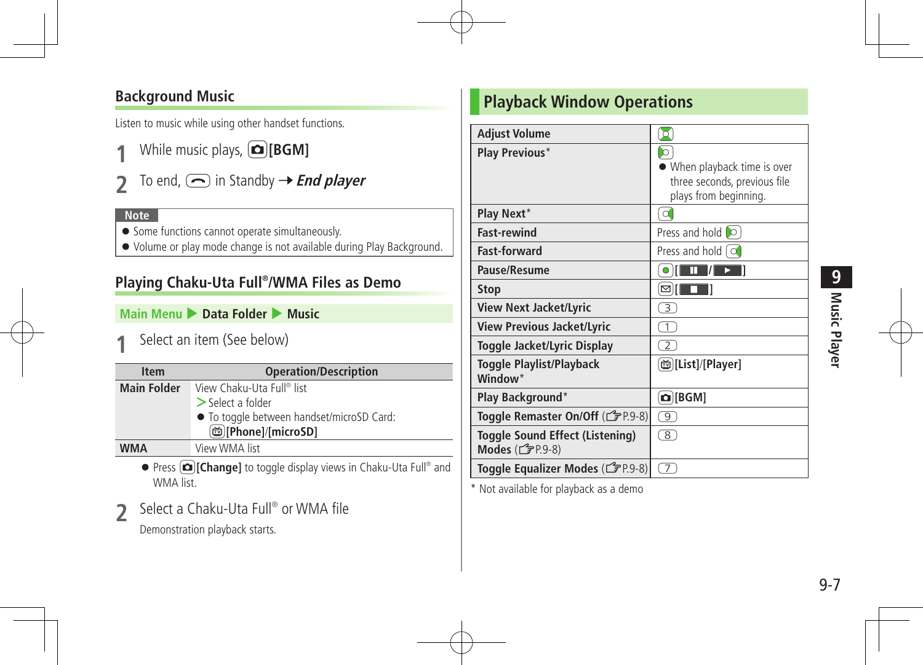# **Background Music**

Listen to music while using other handset functions.

- **1** While music plays, **[co][BGM]**
- **2** To end,  $\bigodot$  in Standby  $\rightarrow$  **End player**

#### **Note**

- **•** Some functions cannot operate simultaneously.
- Volume or play mode change is not available during Play Background.

# **Playing Chaku-Uta Full® /WMA Files as Demo**

### **Main Menu** 4 **Data Folder** 4 **Music**

**Select an item (See below)** 

| <b>Item</b>        | <b>Operation/Description</b>              |
|--------------------|-------------------------------------------|
| <b>Main Folder</b> | View Chaku-Uta Full® list                 |
|                    | $>$ Select a folder                       |
|                    | • To toggle between handset/microSD Card: |
|                    | <b>Milleright</b> [ <i>microSD</i> ]      |
| <b>WMA</b>         | View WMA list                             |

**•** Press  $\textcircled{r}$  [Change] to toggle display views in Chaku-Uta Full® and WMA list.

**2** Select <sup>a</sup> Chaku-Uta Full® or WMA file Demonstration playback starts.

**Playback Window Operations**

| <b>Adjust Volume</b>                                     | O                                                                                              |
|----------------------------------------------------------|------------------------------------------------------------------------------------------------|
| <b>Play Previous*</b>                                    | $\circ$<br>When playback time is over<br>three seconds, previous file<br>plays from beginning. |
| Play Next*                                               | l o                                                                                            |
| <b>Fast-rewind</b>                                       | Press and hold <b>lo</b>                                                                       |
| <b>Fast-forward</b>                                      | Press and hold $\lceil$ $\alpha$                                                               |
| Pause/Resume                                             | Ш                                                                                              |
| <b>Stop</b>                                              | ⊠                                                                                              |
| <b>View Next Jacket/Lyric</b>                            | $\overline{3}$                                                                                 |
| <b>View Previous Jacket/Lyric</b>                        | $\bar{1}$                                                                                      |
| Toggle Jacket/Lyric Display                              | $\overline{2}$                                                                                 |
| <b>Toggle Playlist/Playback</b><br>Window <sup>*</sup>   | [List]/[Player]                                                                                |
| Play Background*                                         | $\Omega$ [BGM]                                                                                 |
| Toggle Remaster On/Off (CFP.9-8)                         | ு)                                                                                             |
| <b>Toggle Sound Effect (Listening)</b><br>Modes (子P.9-8) | $\overline{8}$                                                                                 |
| Toggle Equalizer Modes (13P.9-8)                         | $\tau$                                                                                         |

\* Not available for playback as a demo

e.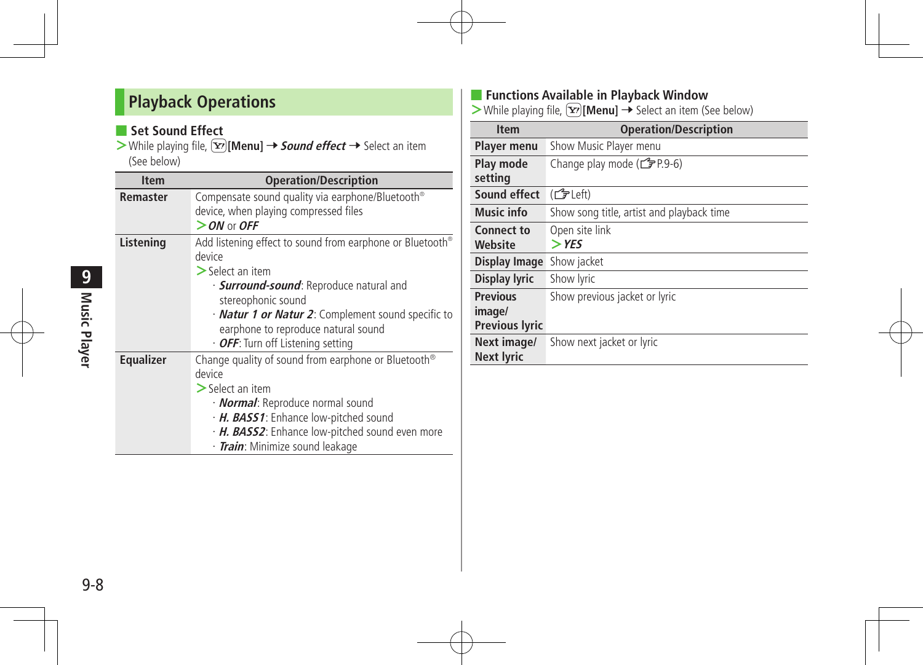# **Playback Operations**

## ■ Set Sound Effect

> While playing file, **\text{Eqsimal}** → **Sound effect** → Select an item (See below)

| <b>Item</b>      | <b>Operation/Description</b>                                                                                                                                                                                                                                                                            |
|------------------|---------------------------------------------------------------------------------------------------------------------------------------------------------------------------------------------------------------------------------------------------------------------------------------------------------|
| Remaster         | Compensate sound quality via earphone/Bluetooth®<br>device, when playing compressed files<br>$>$ ON or OFF                                                                                                                                                                                              |
| Listening        | Add listening effect to sound from earphone or Bluetooth®<br>device<br>$\geq$ Select an item<br>· <b>Surround-sound</b> : Reproduce natural and<br>stereophonic sound<br>· Natur 1 or Natur 2: Complement sound specific to<br>earphone to reproduce natural sound<br>· OFF: Turn off Listening setting |
| <b>Equalizer</b> | Change quality of sound from earphone or Bluetooth <sup>®</sup><br>device<br>$\geq$ Select an item<br>· <b>Normal</b> : Reproduce normal sound<br>· H. BASS1: Enhance low-pitched sound<br>· H. BASS2: Enhance low-pitched sound even more<br>· <i>Train</i> : Minimize sound leakage                   |

### ■ **Functions Available in Playback Window**

> While playing file, (**x**<sub>2</sub>)[Menu] → Select an item (See below)

| <b>Item</b>                                        | <b>Operation/Description</b>              |
|----------------------------------------------------|-------------------------------------------|
| <b>Player menu</b>                                 | Show Music Player menu                    |
| Play mode<br>setting                               | Change play mode ( $\mathcal{F}$ P.9-6)   |
| Sound effect                                       | (子Left)                                   |
| Music info                                         | Show song title, artist and playback time |
| Connect to<br>Website                              | Open site link<br>$>$ YES                 |
| Display Image                                      | Show jacket                               |
| <b>Display lyric</b>                               | Show lyric                                |
| <b>Previous</b><br>image/<br><b>Previous lyric</b> | Show previous jacket or lyric             |
| Next image/<br><b>Next lyric</b>                   | Show next jacket or lyric                 |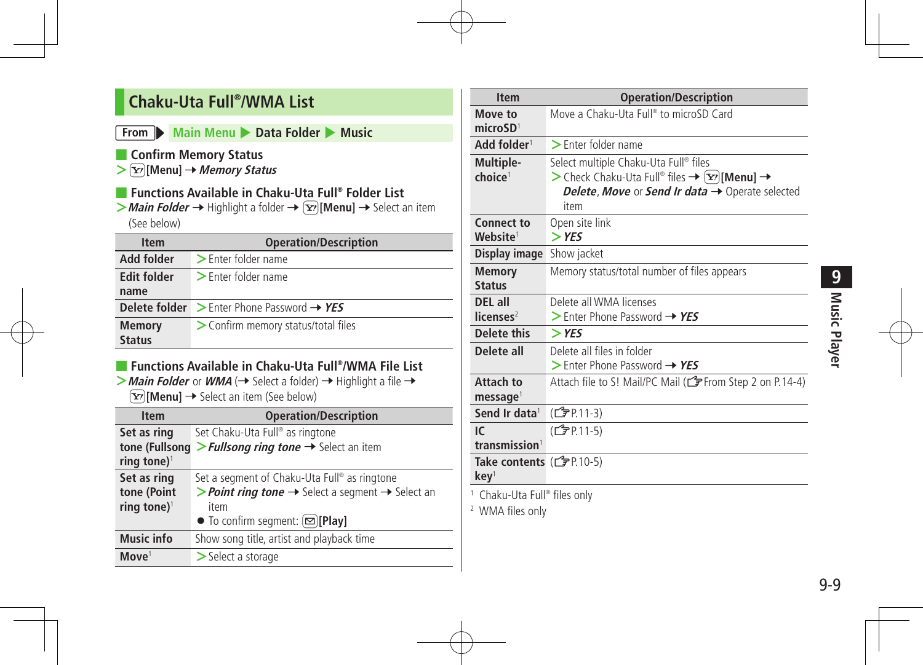# **Chaku-Uta Full® /WMA List**

#### **From Main Menu Data Folder • Music**

- **Confirm Memory Status**
- > **[Y]** [Menu] → Memory Status
- **Functions Available in Chaku-Uta Full® Folder List**
- > **Main Folder →** Highlight a folder →  $\boxed{\mathbf{Y}}$  [Menu] → Select an item (See below)

| <b>Item</b>                    | <b>Operation/Description</b>                                       |
|--------------------------------|--------------------------------------------------------------------|
| Add folder                     | > Enter folder name                                                |
| <b>Edit folder</b>             | $\triangleright$ Enter folder name                                 |
| name                           |                                                                    |
|                                | <b>Delete folder</b> $\geq$ Enter Phone Password $\rightarrow$ YES |
| <b>Memory</b><br><b>Status</b> | > Confirm memory status/total files                                |
|                                |                                                                    |

### ■ **Functions Available in Chaku-Uta Full®/WMA File List**

 $>$  **Main Folder** or **WMA** ( $\rightarrow$  Select a folder)  $\rightarrow$  Highlight a file  $\rightarrow$  $\boxed{\mathbf{Y}}$  [Menu]  $\rightarrow$  Select an item (See below)

| <b>Item</b>                                           | <b>Operation/Description</b>                                                                                                                                                              |
|-------------------------------------------------------|-------------------------------------------------------------------------------------------------------------------------------------------------------------------------------------------|
| Set as ring                                           | Set Chaku-Uta Full® as ringtone                                                                                                                                                           |
| tone (Fullsong<br>ring tone) <sup>1</sup>             | > Fullsong ring tone $\rightarrow$ Select an item                                                                                                                                         |
| Set as ring<br>tone (Point<br>ring tone) <sup>1</sup> | Set a segment of Chaku-Uta Full® as ringtone<br>> Point ring tone $\rightarrow$ Select a segment $\rightarrow$ Select an<br>item<br>$\bullet$ To confirm segment: $\boxed{\infty}$ [Play] |
| <b>Music info</b>                                     | Show song title, artist and playback time                                                                                                                                                 |
| Move <sup>1</sup>                                     | $>$ Select a storage                                                                                                                                                                      |

| <b>Item</b>                                 | <b>Operation/Description</b>                                                                                                                                                                                          |  |
|---------------------------------------------|-----------------------------------------------------------------------------------------------------------------------------------------------------------------------------------------------------------------------|--|
| Move to<br>microSD <sup>1</sup>             | Move a Chaku-Uta Full <sup>®</sup> to microSD Card                                                                                                                                                                    |  |
| Add folder <sup>1</sup>                     | $\blacktriangleright$ Enter folder name                                                                                                                                                                               |  |
| Multiple-<br>choice <sup>1</sup>            | Select multiple Chaku-Uta Full® files<br>> Check Chaku-Uta Full® files $\rightarrow \boxed{\mathbf{x}}$ [Menu] $\rightarrow$<br><b>Delete, Move or Send Ir data <math>\rightarrow</math> Operate selected</b><br>item |  |
| <b>Connect to</b><br>Website <sup>1</sup>   | Open site link<br>$>$ YES                                                                                                                                                                                             |  |
| Display image                               | Show jacket                                                                                                                                                                                                           |  |
| <b>Memory</b><br><b>Status</b>              | Memory status/total number of files appears                                                                                                                                                                           |  |
| DEL all                                     | Delete all WMA licenses                                                                                                                                                                                               |  |
| licenses <sup>2</sup>                       | $>$ Enter Phone Password $\rightarrow$ YES                                                                                                                                                                            |  |
| Delete this                                 | $>$ YES                                                                                                                                                                                                               |  |
| Delete all                                  | Delete all files in folder<br>$>$ Enter Phone Password $\rightarrow$ YES                                                                                                                                              |  |
| Attach to<br>message <sup>1</sup>           | Attach file to S! Mail/PC Mail (CF From Step 2 on P.14-4)                                                                                                                                                             |  |
| Send Ir data <sup>1</sup>                   | (C <sub>J</sub> PP 11-3)                                                                                                                                                                                              |  |
| IC.                                         | (子P.11-5)                                                                                                                                                                                                             |  |
| transmission <sup>1</sup>                   |                                                                                                                                                                                                                       |  |
| Take contents (子P.10-5)<br>kev <sup>1</sup> |                                                                                                                                                                                                                       |  |
| <sup>1</sup> Chaku-Uta Full® files only     |                                                                                                                                                                                                                       |  |

<sup>2</sup> WMA files only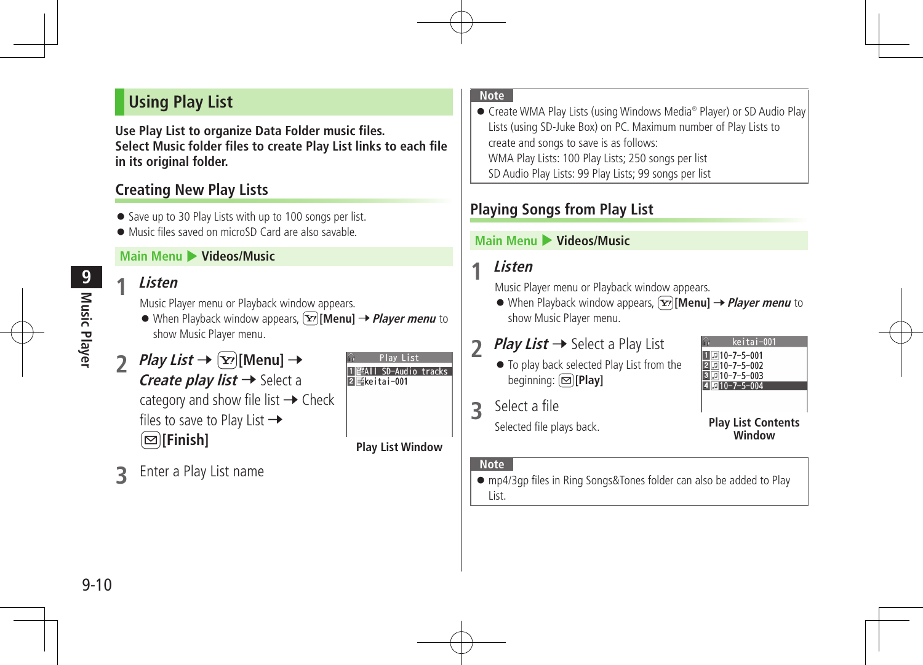# **Using Play List**

**Use Play List to organize Data Folder music files. Select Music folder files to create Play List links to each file in its original folder.**

# **Creating New Play Lists**

- Save up to 30 Play Lists with up to 100 songs per list.
- Music files saved on microSD Card are also savable.

### **Main Menu** 4 **Videos/Music**

# **1 Listen**

Music Player menu or Playback window appears.

● When Playback window appears,  $\boxed{\mathbf{Y}}$  [Menu] → *Player menu* to show Music Player menu.

# *Play List*  $\rightarrow$   $\boxed{\mathbf{Y}}$ *[Menu]*  $\rightarrow$ *Create play list*  $\rightarrow$  Select a category and show file list  $\rightarrow$  Check files to save to Play List  $\rightarrow$

A**[Finish]**

**3** Enter <sup>a</sup> Play List name

**Play List Window**

Play List

**ZEkeitai-001** 

酽All SD-Audio tracks

#### **Note**

● mp4/3gp files in Ring Songs&Tones folder can also be added to Play List.

- **Note**
- Create WMA Play Lists (using Windows Media<sup>®</sup> Player) or SD Audio Play Lists (using SD-Juke Box) on PC. Maximum number of Play Lists to create and songs to save is as follows: WMA Play Lists: 100 Play Lists; 250 songs per list SD Audio Play Lists: 99 Play Lists; 99 songs per list

# **Playing Songs from Play List**

### **Main Menu** 4 **Videos/Music**

# **1 Listen**

Music Player menu or Playback window appears.

 $\bullet$  When Playback window appears,  $\widehat{X}$ [Menu]  $\rightarrow$  *Player menu* to show Music Player menu.

# **2** *Play List* **→ Select a Play List**

- $\bullet$  To play back selected Play List from the beginning:A**[Play]**
- **3** Select <sup>a</sup> file

Selected file plays back. 

# $\blacksquare$ 10-7-5-001  $2110 - 7 - 5 - 002$  $\sqrt{3}10 - 7 - 5 - 003$  $4$   $\overline{17}$  10-7-5-004

**Play List Contents Window**

ceitai-001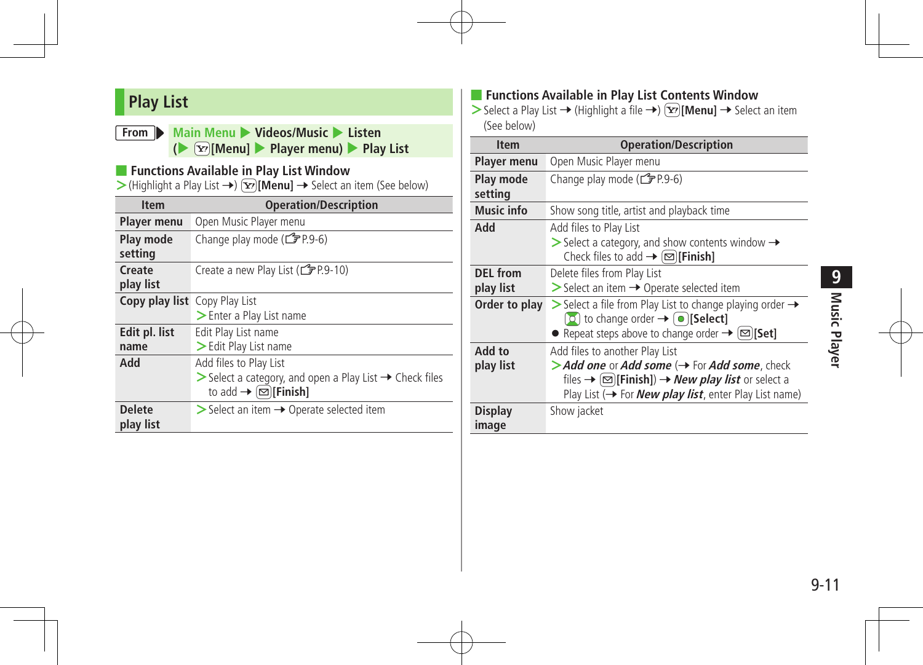# **Play List**

#### **From** Main Menu Videos/Music Listen **(**4 cS**[Menu]** 4 **Player menu)** 4 **Play List**

#### ■ **Functions Available in Play List Window**

> (Highlight a Play List →)  $\boxed{\mathbf{x}}$  [Menu] → Select an item (See below)

| <b>Item</b>                          | <b>Operation/Description</b>                                                       |
|--------------------------------------|------------------------------------------------------------------------------------|
| <b>Player menu</b>                   | Open Music Player menu                                                             |
| Play mode                            | Change play mode (子P.9-6)                                                          |
| setting                              |                                                                                    |
| Create                               | Create a new Play List (CPP.9-10)                                                  |
| play list                            |                                                                                    |
| <b>Copy play list</b> Copy Play List |                                                                                    |
|                                      | > Enter a Play List name                                                           |
| Edit pl. list                        | Edit Play List name                                                                |
| name                                 | > Edit Play List name                                                              |
| Add                                  | Add files to Play List                                                             |
|                                      | $\triangleright$ Select a category, and open a Play List $\rightarrow$ Check files |
|                                      | to add $\rightarrow \text{[}\square\text{[}$ [Finish]                              |
| <b>Delete</b>                        | $\triangleright$ Select an item $\rightarrow$ Operate selected item                |
| play list                            |                                                                                    |

# ■ **Functions Available in Play List Contents Window**

> Select a Play List → (Highlight a file →)  $\boxed{\mathbf{x}}$  [Menu] → Select an item (See below)

| <b>Item</b>                  | <b>Operation/Description</b>                                                                                                                                                                                                                                               |
|------------------------------|----------------------------------------------------------------------------------------------------------------------------------------------------------------------------------------------------------------------------------------------------------------------------|
| Player menu                  | Open Music Player menu                                                                                                                                                                                                                                                     |
| Play mode<br>setting         | Change play mode (FP.9-6)                                                                                                                                                                                                                                                  |
| <b>Music info</b>            | Show song title, artist and playback time                                                                                                                                                                                                                                  |
| Add                          | Add files to Play List<br>$\triangleright$ Select a category, and show contents window $\rightarrow$<br>Check files to add $\rightarrow \boxed{\infty}$ [Finish]                                                                                                           |
| <b>DEL</b> from<br>play list | Delete files from Play List<br>$\triangleright$ Select an item $\rightarrow$ Operate selected item                                                                                                                                                                         |
| Order to play                | $\triangleright$ Select a file from Play List to change playing order $\rightarrow$<br>$\Omega$ to change order $\rightarrow \Omega$ [Select]<br>• Repeat steps above to change order $\rightarrow \lbrack \infty \rbrack$ [Set]                                           |
| Add to<br>play list          | Add files to another Play List<br>> Add one or Add some ( ightharpoonup Tor Add some, check<br>files $\rightarrow \boxed{\text{C}}$ [Finish]) $\rightarrow$ <i>New play list</i> or select a<br>Play List ( $\rightarrow$ For <b>New play list</b> , enter Play List name) |
| <b>Display</b><br>image      | Show jacket                                                                                                                                                                                                                                                                |